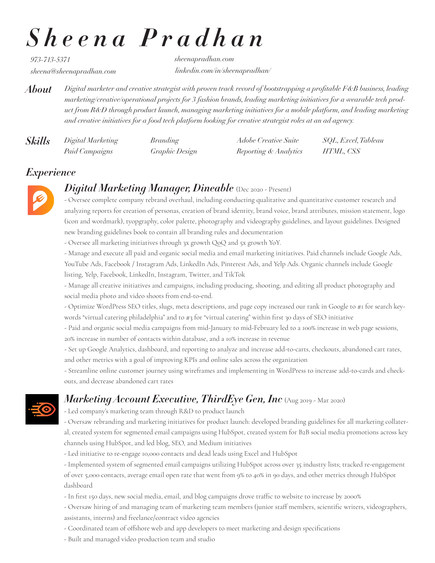# *Sheena Pradhan*

*973-713-5371*

*sheena@sheenapradhan.com linkedin.com/in/sheenapradhan/ sheenapradhan.com*

*Digital marketer and creative strategist with proven track record of bootstrapping a profitable F&B business, leading marketing/creative/operational projects for 3 fashion brands, leading marketing initiatives for a wearable tech product from R&D through product launch, managing marketing initiatives for a mobile platform, and leading marketing and creative initiatives for a food tech platform looking for creative strategist roles at an ad agency. About*

| <b>Skills</b> | Digital Marketing | <i>Branding</i> | Adobe Creative Suite  | SQL, Excel, Tableau |
|---------------|-------------------|-----------------|-----------------------|---------------------|
|               | Paid Campaigns    | Graphic Design  | Reporting & Analytics | HTML, CSS           |

### *Experience*



### *Digital Marketing Manager, Dineable* (Dec 2020 - Present)

- Oversee complete company rebrand overhaul, including conducting qualitative and quantitative customer research and analyzing reports for creation of personas, creation of brand identity, brand voice, brand attributes, mission statement, logo (icon and wordmark), tyopgraphy, color palette, photography and videography guidelines, and layout guidelines. Designed new branding guidelines book to contain all branding rules and documentation

- Oversee all marketing initiatives through 3x growth QoQ and 5x growth YoY.

- Manage and execute all paid and organic social media and email marketing initiatives. Paid channels include Google Ads, YouTube Ads, Facebook / Instagram Ads, LinkedIn Ads, Pinterest Ads, and Yelp Ads. Organic channels include Google listing, Yelp, Facebook, LinkedIn, Instagram, Twitter, and TikTok

- Manage all creative initiatives and campaigns, including producing, shooting, and editing all product photography and social media photo and video shoots from end-to-end.

- Optimize WordPress SEO titles, slugs, meta descriptions, and page copy increased our rank in Google to #1 for search keywords "virtual catering philadelphia" and to #3 for "virtual catering" within first 30 days of SEO initiative

- Paid and organic social media campaigns from mid-January to mid-February led to a 100% increase in web page sessions, 20% increase in number of contacts within database, and a 10% increase in revenue

- Set up Google Analytics, dashboard, and reporting to analyze and increase add-to-carts, checkouts, abandoned cart rates, and other metrics with a goal of improving KPIs and online sales across the organization

- Streamline online customer journey using wireframes and implementing in WordPress to increase add-to-cards and checkouts, and decrease abandoned cart rates

## *Marketing Account Executive, ThirdEye Gen, Inc* (Aug 2019 - Mar 2020)

- Led company's marketing team through R&D to product launch
- Oversaw rebranding and marketing initiatives for product launch: developed branding guidelines for all marketing collateral, created system for segmented email campaigns using HubSpot, created system for B2B social media promotions across key channels using HubSpot, and led blog, SEO, and Medium initiatives
- Led initiative to re-engage 10,000 contacts and dead leads using Excel and HubSpot

- Implemented system of segmented email campaigns utilizing HubSpot across over 35 industry lists; tracked re-engagement of over 5,000 contacts, average email open rate that went from 9% to 40% in 90 days, and other metrics through HubSpot dashboard

- In first 150 days, new social media, email, and blog campaigns drove traffic to website to increase by 2000%
- Oversaw hiring of and managing team of marketing team members (junior staff members, scientific writers, videographers, assistants, interns) and freelance/contract video agencies
- Coordinated team of offshore web and app developers to meet marketing and design specifications
- Built and managed video production team and studio